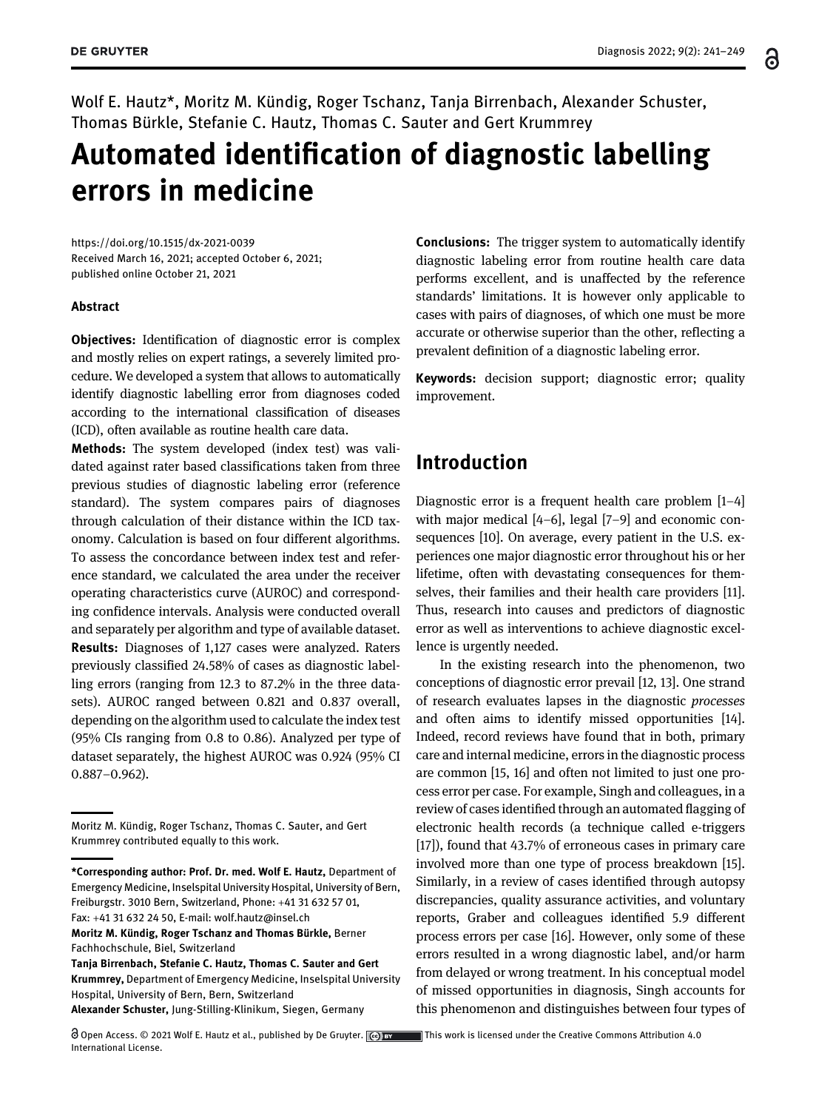Wolf E. Hautz\*, Moritz M. Kündig, Roger Tschanz, Tanja Birrenbach, Alexander Schuster, Thomas Bürkle, Stefanie C. Hautz, Thomas C. Sauter and Gert Krummrey

# Automated identification of diagnostic labelling errors in medicine

<https://doi.org/10.1515/dx-2021-0039> Received March 16, 2021; accepted October 6, 2021; published online October 21, 2021

#### Abstract

Objectives: Identification of diagnostic error is complex and mostly relies on expert ratings, a severely limited procedure. We developed a system that allows to automatically identify diagnostic labelling error from diagnoses coded according to the international classification of diseases (ICD), often available as routine health care data.

Methods: The system developed (index test) was validated against rater based classifications taken from three previous studies of diagnostic labeling error (reference standard). The system compares pairs of diagnoses through calculation of their distance within the ICD taxonomy. Calculation is based on four different algorithms. To assess the concordance between index test and reference standard, we calculated the area under the receiver operating characteristics curve (AUROC) and corresponding confidence intervals. Analysis were conducted overall and separately per algorithm and type of available dataset. Results: Diagnoses of 1,127 cases were analyzed. Raters previously classified 24.58% of cases as diagnostic labelling errors (ranging from 12.3 to 87.2% in the three datasets). AUROC ranged between 0.821 and 0.837 overall, depending on the algorithm used to calculate the index test (95% CIs ranging from 0.8 to 0.86). Analyzed per type of dataset separately, the highest AUROC was 0.924 (95% CI 0.887–0.962).

Moritz M. Kündig, Roger Tschanz and Thomas Bürkle, Berner Fachhochschule, Biel, Switzerland

Alexander Schuster, Jung-Stilling-Klinikum, Siegen, Germany

Conclusions: The trigger system to automatically identify diagnostic labeling error from routine health care data performs excellent, and is unaffected by the reference standards' limitations. It is however only applicable to cases with pairs of diagnoses, of which one must be more accurate or otherwise superior than the other, reflecting a prevalent definition of a diagnostic labeling error.

Keywords: decision support; diagnostic error; quality improvement.

### Introduction

Diagnostic error is a frequent health care problem [1[–](#page-7-0)4] with major medical [4[–](#page-7-1)6], legal [7[–](#page-7-2)9] and economic consequences [[10\]](#page-7-3). On average, every patient in the U.S. experiences one major diagnostic error throughout his or her lifetime, often with devastating consequences for themselves, their families and their health care providers [[11\]](#page-7-4). Thus, research into causes and predictors of diagnostic error as well as interventions to achieve diagnostic excellence is urgently needed.

In the existing research into the phenomenon, two conceptions of diagnostic error prevail [\[12](#page-7-5), [13\]](#page-7-6). One strand of research evaluates lapses in the diagnostic processes and often aims to identify missed opportunities [[14\]](#page-7-7). Indeed, record reviews have found that in both, primary care and internal medicine, errors in the diagnostic process are common [[15](#page-7-8), [16](#page-7-9)] and often not limited to just one process error per case. For example, Singh and colleagues, in a review of cases identified through an automated flagging of electronic health records (a technique called e-triggers [\[17\]](#page-7-10)), found that 43.7% of erroneous cases in primary care involved more than one type of process breakdown [\[15\]](#page-7-8). Similarly, in a review of cases identified through autopsy discrepancies, quality assurance activities, and voluntary reports, Graber and colleagues identified 5.9 different process errors per case [\[16\]](#page-7-9). However, only some of these errors resulted in a wrong diagnostic label, and/or harm from delayed or wrong treatment. In his conceptual model of missed opportunities in diagnosis, Singh accounts for this phenomenon and distinguishes between four types of

Moritz M. Kündig, Roger Tschanz, Thomas C. Sauter, and Gert Krummrey contributed equally to this work.

<sup>\*</sup>Corresponding author: Prof. Dr. med. Wolf E. Hautz, Department of Emergency Medicine, Inselspital University Hospital, University of Bern, Freiburgstr. 3010 Bern, Switzerland, Phone: +41 31 632 57 01, Fax: +41 31 632 24 50, E-mail: [wolf.hautz@insel.ch](mailto:wolf.hautz@insel.ch)

Tanja Birrenbach, Stefanie C. Hautz, Thomas C. Sauter and Gert Krummrey, Department of Emergency Medicine, Inselspital University Hospital, University of Bern, Bern, Switzerland

 $\bigcirc$  Open Access. © 2021 Wolf E. Hautz et al., published by De Gruyter.  $\bigcirc$  or  $\bigcirc$  This work is licensed under the Creative Commons Attribution 4.0 International License.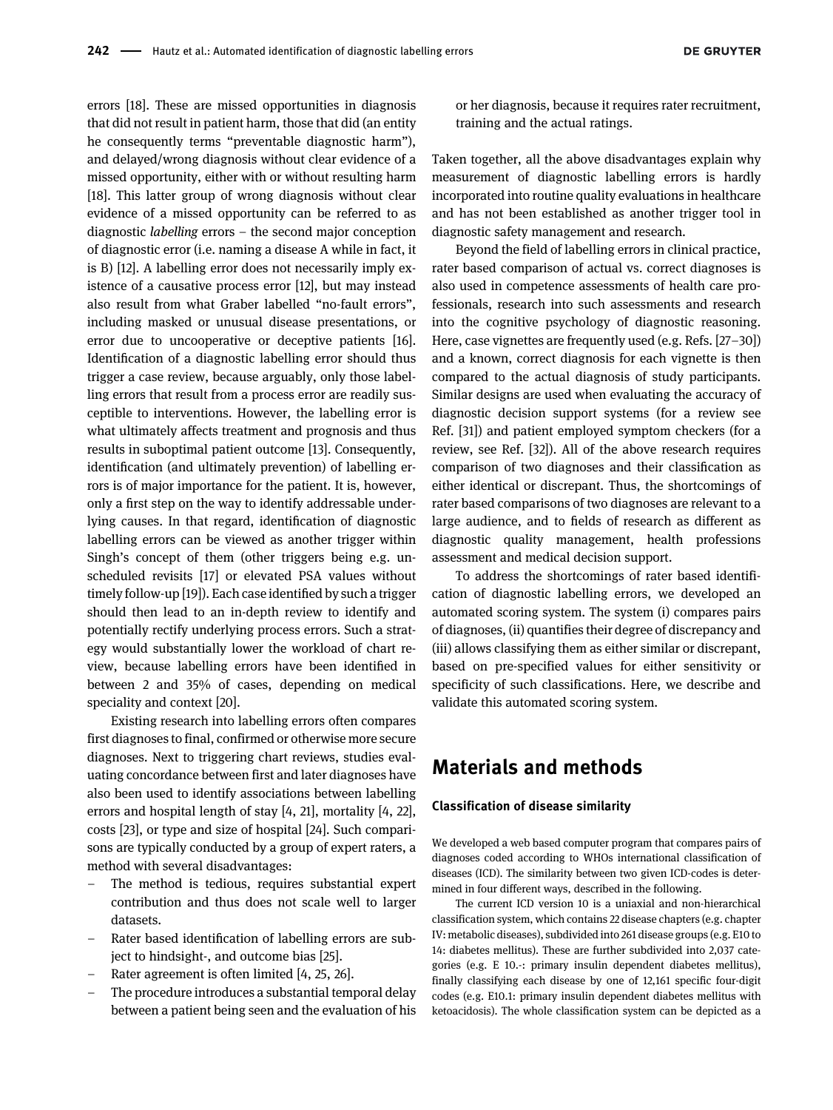errors [[18\]](#page-7-11). These are missed opportunities in diagnosis that did not result in patient harm, those that did (an entity he consequently terms "preventable diagnostic harm"), and delayed/wrong diagnosis without clear evidence of a missed opportunity, either with or without resulting harm [\[18\]](#page-7-11). This latter group of wrong diagnosis without clear evidence of a missed opportunity can be referred to as diagnostic labelling errors – the second major conception of diagnostic error (i.e. naming a disease A while in fact, it is B) [\[12](#page-7-5)]. A labelling error does not necessarily imply existence of a causative process error [[12\]](#page-7-5), but may instead also result from what Graber labelled "no-fault errors", including masked or unusual disease presentations, or error due to uncooperative or deceptive patients [[16](#page-7-9)]. Identification of a diagnostic labelling error should thus trigger a case review, because arguably, only those labelling errors that result from a process error are readily susceptible to interventions. However, the labelling error is what ultimately affects treatment and prognosis and thus results in suboptimal patient outcome [\[13\]](#page-7-6). Consequently, identification (and ultimately prevention) of labelling errors is of major importance for the patient. It is, however, only a first step on the way to identify addressable underlying causes. In that regard, identification of diagnostic labelling errors can be viewed as another trigger within Singh's concept of them (other triggers being e.g. unscheduled revisits [\[17\]](#page-7-10) or elevated PSA values without timely follow-up [[19\]](#page-7-12)). Each case identified by such a trigger should then lead to an in-depth review to identify and potentially rectify underlying process errors. Such a strategy would substantially lower the workload of chart review, because labelling errors have been identified in between 2 and 35% of cases, depending on medical speciality and context [\[20\]](#page-7-13).

Existing research into labelling errors often compares first diagnoses to final, confirmed or otherwise more secure diagnoses. Next to triggering chart reviews, studies evaluating concordance between first and later diagnoses have also been used to identify associations between labelling errors and hospital length of stay [\[4](#page-7-1), [21\]](#page-7-14), mortality [\[4](#page-7-1), [22](#page-7-15)], costs [\[23\]](#page-7-16), or type and size of hospital [\[24\]](#page-7-17). Such comparisons are typically conducted by a group of expert raters, a method with several disadvantages:

- The method is tedious, requires substantial expert contribution and thus does not scale well to larger datasets.
- Rater based identification of labelling errors are subject to hindsight-, and outcome bias [\[25\]](#page-7-18).
- Rater agreement is often limited [\[4](#page-7-1), [25,](#page-7-18) [26](#page-7-19)].
- The procedure introduces a substantial temporal delay between a patient being seen and the evaluation of his

or her diagnosis, because it requires rater recruitment, training and the actual ratings.

Taken together, all the above disadvantages explain why measurement of diagnostic labelling errors is hardly incorporated into routine quality evaluations in healthcare and has not been established as another trigger tool in diagnostic safety management and research.

Beyond the field of labelling errors in clinical practice, rater based comparison of actual vs. correct diagnoses is also used in competence assessments of health care professionals, research into such assessments and research into the cognitive psychology of diagnostic reasoning. Here, case vignettes are frequently used (e.g. Refs. [27–[30](#page-7-20)]) and a known, correct diagnosis for each vignette is then compared to the actual diagnosis of study participants. Similar designs are used when evaluating the accuracy of diagnostic decision support systems (for a review see Ref. [[31](#page-7-21)]) and patient employed symptom checkers (for a review, see Ref. [\[32\]](#page-8-0)). All of the above research requires comparison of two diagnoses and their classification as either identical or discrepant. Thus, the shortcomings of rater based comparisons of two diagnoses are relevant to a large audience, and to fields of research as different as diagnostic quality management, health professions assessment and medical decision support.

To address the shortcomings of rater based identification of diagnostic labelling errors, we developed an automated scoring system. The system (i) compares pairs of diagnoses, (ii) quantifies their degree of discrepancy and (iii) allows classifying them as either similar or discrepant, based on pre-specified values for either sensitivity or specificity of such classifications. Here, we describe and validate this automated scoring system.

### Materials and methods

#### Classification of disease similarity

We developed a web based computer program that compares pairs of diagnoses coded according to WHOs international classification of diseases (ICD). The similarity between two given ICD-codes is determined in four different ways, described in the following.

The current ICD version 10 is a uniaxial and non-hierarchical classification system, which contains 22 disease chapters (e.g. chapter IV: metabolic diseases), subdivided into 261 disease groups (e.g. E10 to 14: diabetes mellitus). These are further subdivided into 2,037 categories (e.g. E 10.-: primary insulin dependent diabetes mellitus), finally classifying each disease by one of 12,161 specific four-digit codes (e.g. E10.1: primary insulin dependent diabetes mellitus with ketoacidosis). The whole classification system can be depicted as a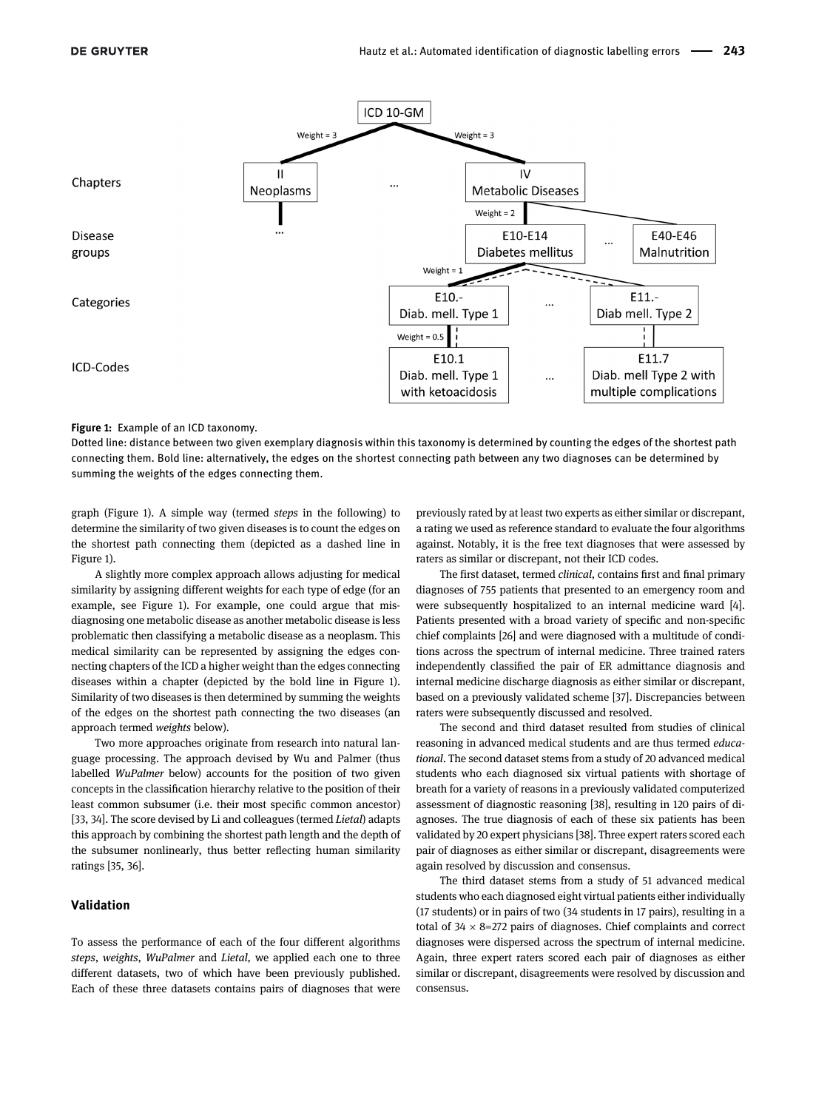

#### <span id="page-2-0"></span>Figure 1: Example of an ICD taxonomy.

Dotted line: distance between two given exemplary diagnosis within this taxonomy is determined by counting the edges of the shortest path connecting them. Bold line: alternatively, the edges on the shortest connecting path between any two diagnoses can be determined by summing the weights of the edges connecting them.

graph [\(Figure 1\)](#page-2-0). A simple way (termed steps in the following) to determine the similarity of two given diseases is to count the edges on the shortest path connecting them (depicted as a dashed line in [Figure 1](#page-2-0)).

A slightly more complex approach allows adjusting for medical similarity by assigning different weights for each type of edge (for an example, see [Figure 1\)](#page-2-0). For example, one could argue that misdiagnosing one metabolic disease as another metabolic disease is less problematic then classifying a metabolic disease as a neoplasm. This medical similarity can be represented by assigning the edges connecting chapters of the ICD a higher weight than the edges connecting diseases within a chapter (depicted by the bold line in [Figure 1\)](#page-2-0). Similarity of two diseases is then determined by summing the weights of the edges on the shortest path connecting the two diseases (an approach termed weights below).

Two more approaches originate from research into natural language processing. The approach devised by Wu and Palmer (thus labelled WuPalmer below) accounts for the position of two given concepts in the classification hierarchy relative to the position of their least common subsumer (i.e. their most specific common ancestor) [\[33,](#page-8-1) [34](#page-8-2)]. The score devised by Li and colleagues (termed Lietal) adapts this approach by combining the shortest path length and the depth of the subsumer nonlinearly, thus better reflecting human similarity ratings [\[35,](#page-8-3) [36\]](#page-8-4).

#### Validation

To assess the performance of each of the four different algorithms steps, weights, WuPalmer and Lietal, we applied each one to three different datasets, two of which have been previously published. Each of these three datasets contains pairs of diagnoses that were

previously rated by at least two experts as either similar or discrepant, a rating we used as reference standard to evaluate the four algorithms against. Notably, it is the free text diagnoses that were assessed by raters as similar or discrepant, not their ICD codes.

The first dataset, termed clinical, contains first and final primary diagnoses of 755 patients that presented to an emergency room and were subsequently hospitalized to an internal medicine ward [\[4](#page-7-1)]. Patients presented with a broad variety of specific and non-specific chief complaints [\[26\]](#page-7-19) and were diagnosed with a multitude of conditions across the spectrum of internal medicine. Three trained raters independently classified the pair of ER admittance diagnosis and internal medicine discharge diagnosis as either similar or discrepant, based on a previously validated scheme [\[37\]](#page-8-5). Discrepancies between raters were subsequently discussed and resolved.

The second and third dataset resulted from studies of clinical reasoning in advanced medical students and are thus termed educational. The second dataset stems from a study of 20 advanced medical students who each diagnosed six virtual patients with shortage of breath for a variety of reasons in a previously validated computerized assessment of diagnostic reasoning [\[38](#page-8-6)], resulting in 120 pairs of diagnoses. The true diagnosis of each of these six patients has been validated by 20 expert physicians [\[38](#page-8-6)]. Three expert raters scored each pair of diagnoses as either similar or discrepant, disagreements were again resolved by discussion and consensus.

The third dataset stems from a study of 51 advanced medical students who each diagnosed eight virtual patients either individually (17 students) or in pairs of two (34 students in 17 pairs), resulting in a total of  $34 \times 8=272$  pairs of diagnoses. Chief complaints and correct diagnoses were dispersed across the spectrum of internal medicine. Again, three expert raters scored each pair of diagnoses as either similar or discrepant, disagreements were resolved by discussion and consensus.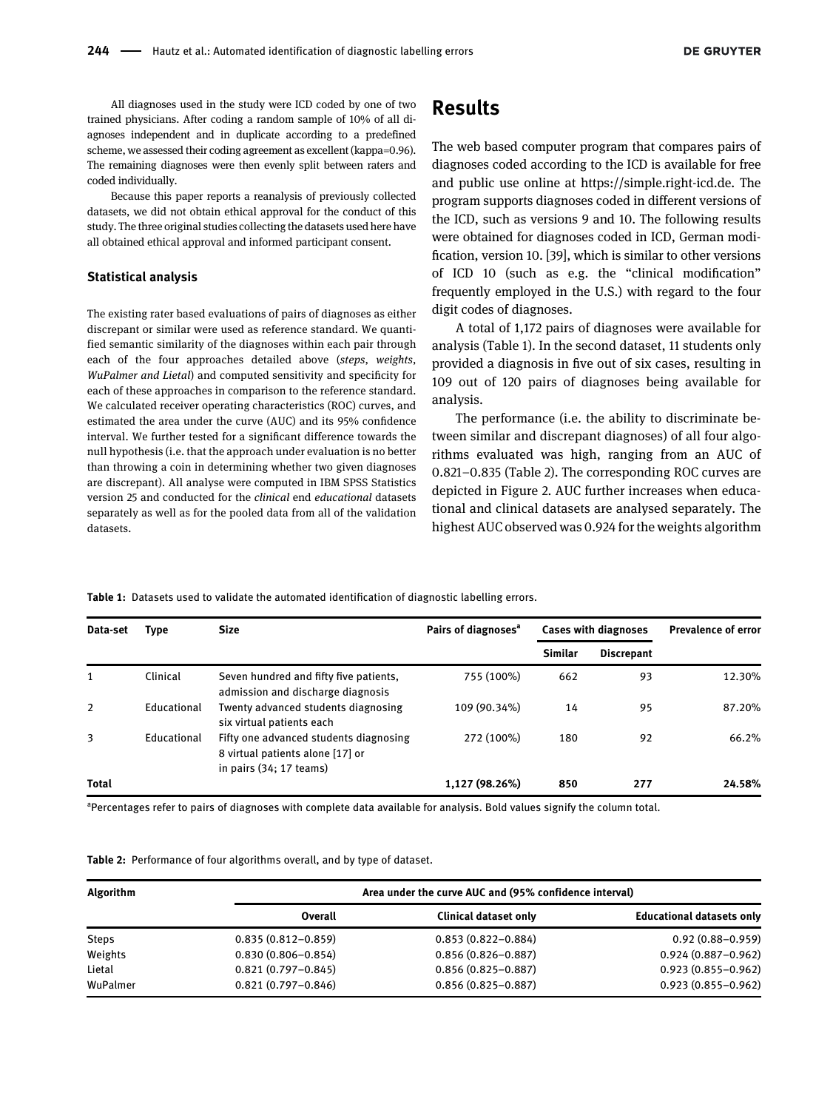All diagnoses used in the study were ICD coded by one of two trained physicians. After coding a random sample of 10% of all diagnoses independent and in duplicate according to a predefined scheme, we assessed their coding agreement as excellent (kappa=0.96). The remaining diagnoses were then evenly split between raters and coded individually.

Because this paper reports a reanalysis of previously collected datasets, we did not obtain ethical approval for the conduct of this study. The three original studies collecting the datasets used here have all obtained ethical approval and informed participant consent.

#### Statistical analysis

The existing rater based evaluations of pairs of diagnoses as either discrepant or similar were used as reference standard. We quantified semantic similarity of the diagnoses within each pair through each of the four approaches detailed above (steps, weights, WuPalmer and Lietal) and computed sensitivity and specificity for each of these approaches in comparison to the reference standard. We calculated receiver operating characteristics (ROC) curves, and estimated the area under the curve (AUC) and its 95% confidence interval. We further tested for a significant difference towards the null hypothesis (i.e. that the approach under evaluation is no better than throwing a coin in determining whether two given diagnoses are discrepant). All analyse were computed in IBM SPSS Statistics version 25 and conducted for the clinical end educational datasets separately as well as for the pooled data from all of the validation datasets.

### Results

The web based computer program that compares pairs of diagnoses coded according to the ICD is available for free and public use online at [https://simple.right-icd.de](https://right-icd.de/). The program supports diagnoses coded in different versions of the ICD, such as versions 9 and 10. The following results were obtained for diagnoses coded in ICD, German modification, version 10. [\[39\]](#page-8-7), which is similar to other versions of ICD 10 (such as e.g. the "clinical modification" frequently employed in the U.S.) with regard to the four digit codes of diagnoses.

A total of 1,172 pairs of diagnoses were available for analysis [\(Table 1](#page-3-0)). In the second dataset, 11 students only provided a diagnosis in five out of six cases, resulting in 109 out of 120 pairs of diagnoses being available for analysis.

The performance (i.e. the ability to discriminate between similar and discrepant diagnoses) of all four algorithms evaluated was high, ranging from an AUC of 0.821–0.835 ([Table 2\)](#page-3-1). The corresponding ROC curves are depicted in [Figure 2.](#page-4-0) AUC further increases when educational and clinical datasets are analysed separately. The highest AUC observed was 0.924 for the weights algorithm

<span id="page-3-0"></span>Table 1: Datasets used to validate the automated identification of diagnostic labelling errors.

| Data-set     | Type        | <b>Size</b>                                                                                           | Pairs of diagnoses <sup>a</sup> | <b>Cases with diagnoses</b> |                   | <b>Prevalence of error</b> |
|--------------|-------------|-------------------------------------------------------------------------------------------------------|---------------------------------|-----------------------------|-------------------|----------------------------|
|              |             |                                                                                                       |                                 | Similar                     | <b>Discrepant</b> |                            |
| 1            | Clinical    | Seven hundred and fifty five patients,<br>admission and discharge diagnosis                           | 755 (100%)                      | 662                         | 93                | 12.30%                     |
| 2            | Educational | Twenty advanced students diagnosing<br>six virtual patients each                                      | 109 (90.34%)                    | 14                          | 95                | 87.20%                     |
| 3            | Educational | Fifty one advanced students diagnosing<br>8 virtual patients alone [17] or<br>in pairs (34; 17 teams) | 272 (100%)                      | 180                         | 92                | 66.2%                      |
| <b>Total</b> |             |                                                                                                       | 1,127 (98.26%)                  | 850                         | 277               | 24.58%                     |

<sup>a</sup>Percentages refer to pairs of diagnoses with complete data available for analysis. Bold values signify the column total.

<span id="page-3-1"></span>Table 2: Performance of four algorithms overall, and by type of dataset.

| <b>Algorithm</b> |                        | Area under the curve AUC and (95% confidence interval) |                                  |
|------------------|------------------------|--------------------------------------------------------|----------------------------------|
|                  | Overall                | <b>Clinical dataset only</b>                           | <b>Educational datasets only</b> |
| <b>Steps</b>     | $0.835(0.812 - 0.859)$ | $0.853(0.822 - 0.884)$                                 | $0.92(0.88 - 0.959)$             |
| Weights          | $0.830(0.806 - 0.854)$ | $0.856(0.826 - 0.887)$                                 | $0.924(0.887 - 0.962)$           |
| Lietal           | $0.821(0.797 - 0.845)$ | $0.856(0.825 - 0.887)$                                 | $0.923(0.855 - 0.962)$           |
| WuPalmer         | $0.821(0.797 - 0.846)$ | $0.856(0.825 - 0.887)$                                 | $0.923(0.855 - 0.962)$           |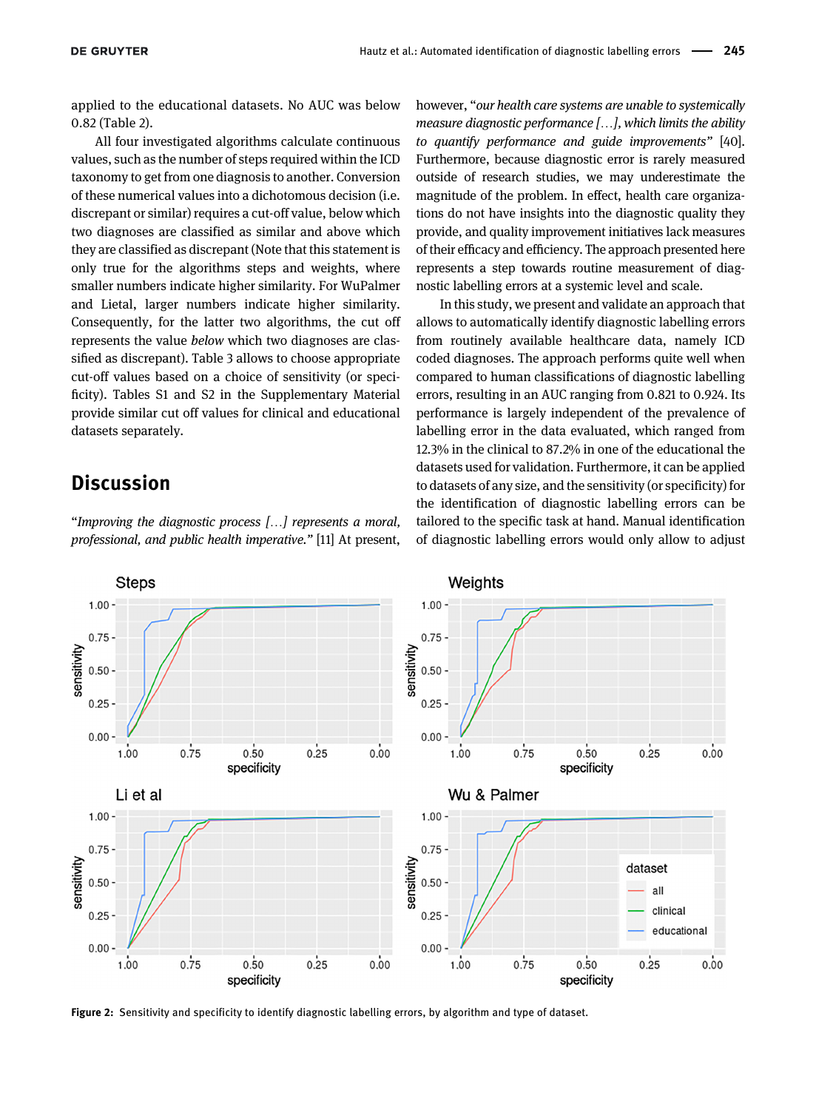applied to the educational datasets. No AUC was below 0.82 [\(Table 2\)](#page-3-1).

All four investigated algorithms calculate continuous values, such as the number of steps required within the ICD taxonomy to get from one diagnosis to another. Conversion of these numerical values into a dichotomous decision (i.e. discrepant or similar) requires a cut-off value, below which two diagnoses are classified as similar and above which they are classified as discrepant (Note that this statement is only true for the algorithms steps and weights, where smaller numbers indicate higher similarity. For WuPalmer and Lietal, larger numbers indicate higher similarity. Consequently, for the latter two algorithms, the cut off represents the value below which two diagnoses are classified as discrepant). [Table 3](#page-5-0) allows to choose appropriate cut-off values based on a choice of sensitivity (or specificity). [Tables S1 and S2](#page-8-8) in the Supplementary Material provide similar cut off values for clinical and educational datasets separately.

### **Discussion**

"Improving the diagnostic process […] represents a moral, professional, and public health imperative." [\[11\]](#page-7-4) At present,

however, "our health care systems are unable to systemically measure diagnostic performance […], which limits the ability to quantify performance and guide improvements" [\[40\]](#page-8-9). Furthermore, because diagnostic error is rarely measured outside of research studies, we may underestimate the magnitude of the problem. In effect, health care organizations do not have insights into the diagnostic quality they provide, and quality improvement initiatives lack measures of their efficacy and efficiency. The approach presented here represents a step towards routine measurement of diagnostic labelling errors at a systemic level and scale.

In this study, we present and validate an approach that allows to automatically identify diagnostic labelling errors from routinely available healthcare data, namely ICD coded diagnoses. The approach performs quite well when compared to human classifications of diagnostic labelling errors, resulting in an AUC ranging from 0.821 to 0.924. Its performance is largely independent of the prevalence of labelling error in the data evaluated, which ranged from 12.3% in the clinical to 87.2% in one of the educational the datasets used for validation. Furthermore, it can be applied to datasets of any size, and the sensitivity (or specificity) for the identification of diagnostic labelling errors can be tailored to the specific task at hand. Manual identification of diagnostic labelling errors would only allow to adjust



<span id="page-4-0"></span>Figure 2: Sensitivity and specificity to identify diagnostic labelling errors, by algorithm and type of dataset.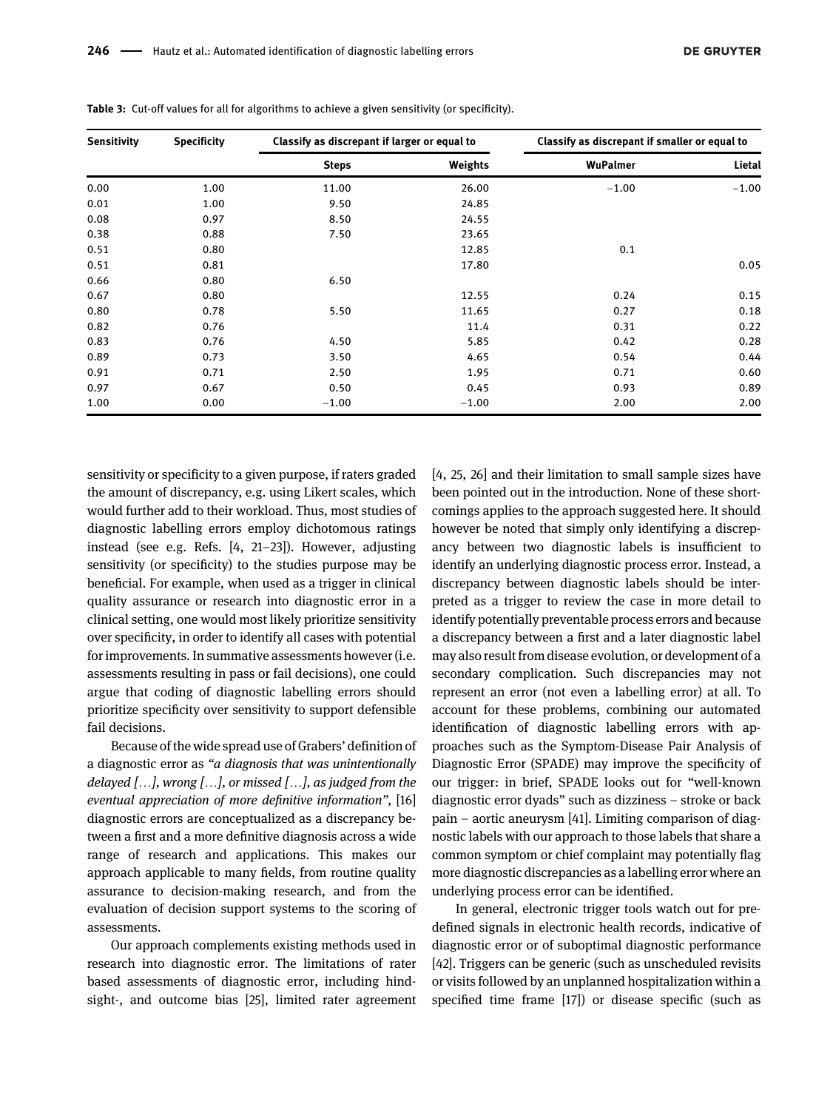| <b>Sensitivity</b> | <b>Specificity</b> | Classify as discrepant if larger or equal to |         | Classify as discrepant if smaller or equal to |         |  |
|--------------------|--------------------|----------------------------------------------|---------|-----------------------------------------------|---------|--|
|                    |                    | <b>Steps</b>                                 | Weights | WuPalmer                                      | Lietal  |  |
| 0.00               | 1.00               | 11.00                                        | 26.00   | $-1.00$                                       | $-1.00$ |  |
| 0.01               | 1.00               | 9.50                                         | 24.85   |                                               |         |  |
| 0.08               | 0.97               | 8.50                                         | 24.55   |                                               |         |  |
| 0.38               | 0.88               | 7.50                                         | 23.65   |                                               |         |  |
| 0.51               | 0.80               |                                              | 12.85   | 0.1                                           |         |  |
| 0.51               | 0.81               |                                              | 17.80   |                                               | 0.05    |  |
| 0.66               | 0.80               | 6.50                                         |         |                                               |         |  |
| 0.67               | 0.80               |                                              | 12.55   | 0.24                                          | 0.15    |  |
| 0.80               | 0.78               | 5.50                                         | 11.65   | 0.27                                          | 0.18    |  |
| 0.82               | 0.76               |                                              | 11.4    | 0.31                                          | 0.22    |  |
| 0.83               | 0.76               | 4.50                                         | 5.85    | 0.42                                          | 0.28    |  |
| 0.89               | 0.73               | 3.50                                         | 4.65    | 0.54                                          | 0.44    |  |
| 0.91               | 0.71               | 2.50                                         | 1.95    | 0.71                                          | 0.60    |  |
| 0.97               | 0.67               | 0.50                                         | 0.45    | 0.93                                          | 0.89    |  |
| 1.00               | 0.00               | $-1.00$                                      | $-1.00$ | 2.00                                          | 2.00    |  |

<span id="page-5-0"></span>Table 3: Cut-off values for all for algorithms to achieve a given sensitivity (or specificity).

sensitivity or specificity to a given purpose, if raters graded the amount of discrepancy, e.g. using Likert scales, which would further add to their workload. Thus, most studies of diagnostic labelling errors employ dichotomous ratings instead (see e.g. Refs. [[4,](#page-7-1) 21–[23](#page-7-14)]). However, adjusting sensitivity (or specificity) to the studies purpose may be beneficial. For example, when used as a trigger in clinical quality assurance or research into diagnostic error in a clinical setting, one would most likely prioritize sensitivity over specificity, in order to identify all cases with potential for improvements. In summative assessments however (i.e. assessments resulting in pass or fail decisions), one could argue that coding of diagnostic labelling errors should prioritize specificity over sensitivity to support defensible fail decisions.

Because of the wide spread use of Grabers' definition of a diagnostic error as "a diagnosis that was unintentionally delayed  $[\dots]$ , wrong  $[\dots]$ , or missed  $[\dots]$ , as judged from the eventual appreciation of more definitive information", [\[16\]](#page-7-9) diagnostic errors are conceptualized as a discrepancy between a first and a more definitive diagnosis across a wide range of research and applications. This makes our approach applicable to many fields, from routine quality assurance to decision-making research, and from the evaluation of decision support systems to the scoring of assessments.

Our approach complements existing methods used in research into diagnostic error. The limitations of rater based assessments of diagnostic error, including hindsight-, and outcome bias [\[25\]](#page-7-18), limited rater agreement [[4,](#page-7-1) [25,](#page-7-18) [26\]](#page-7-19) and their limitation to small sample sizes have been pointed out in the introduction. None of these shortcomings applies to the approach suggested here. It should however be noted that simply only identifying a discrepancy between two diagnostic labels is insufficient to identify an underlying diagnostic process error. Instead, a discrepancy between diagnostic labels should be interpreted as a trigger to review the case in more detail to identify potentially preventable process errors and because a discrepancy between a first and a later diagnostic label may also result from disease evolution, or development of a secondary complication. Such discrepancies may not represent an error (not even a labelling error) at all. To account for these problems, combining our automated identification of diagnostic labelling errors with approaches such as the Symptom-Disease Pair Analysis of Diagnostic Error (SPADE) may improve the specificity of our trigger: in brief, SPADE looks out for "well-known diagnostic error dyads" such as dizziness – stroke or back pain – aortic aneurysm [\[41\]](#page-8-10). Limiting comparison of diagnostic labels with our approach to those labels that share a common symptom or chief complaint may potentially flag more diagnostic discrepancies as a labelling error where an underlying process error can be identified.

In general, electronic trigger tools watch out for predefined signals in electronic health records, indicative of diagnostic error or of suboptimal diagnostic performance [[42\]](#page-8-11). Triggers can be generic (such as unscheduled revisits or visits followed by an unplanned hospitalization within a specified time frame [[17\]](#page-7-10)) or disease specific (such as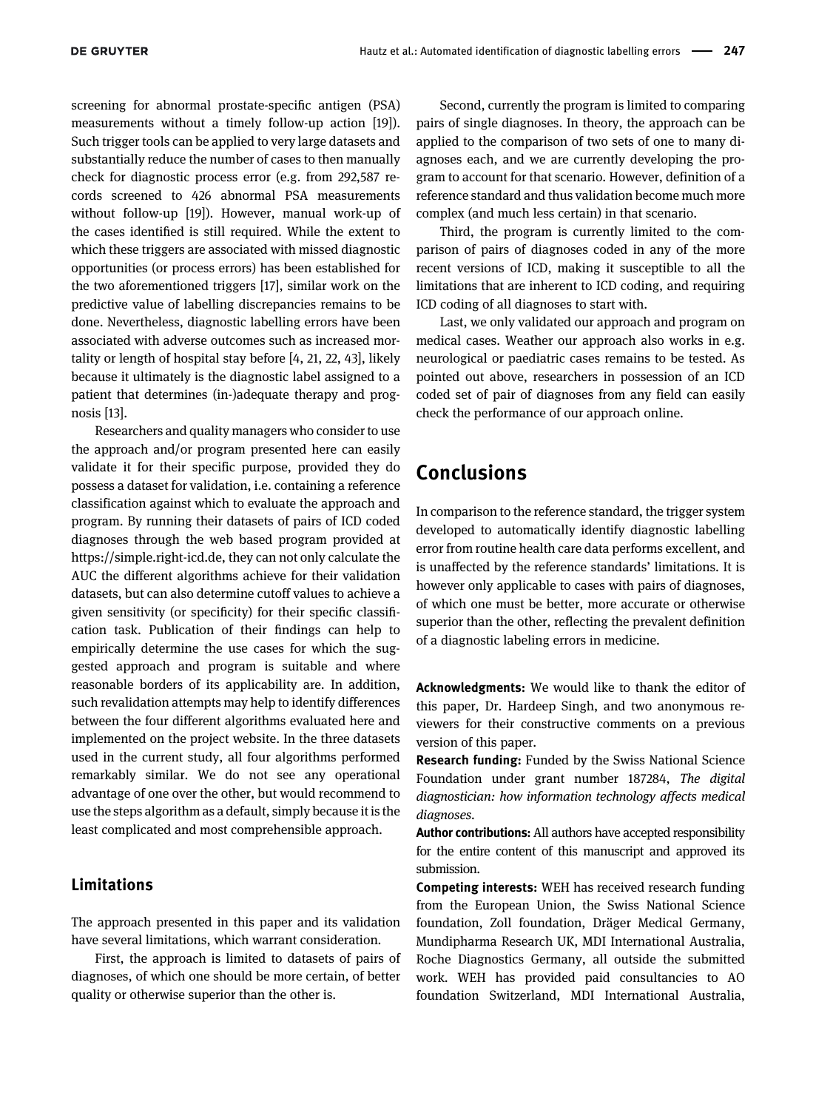screening for abnormal prostate-specific antigen (PSA) measurements without a timely follow-up action [\[19\]](#page-7-12)). Such trigger tools can be applied to very large datasets and substantially reduce the number of cases to then manually check for diagnostic process error (e.g. from 292,587 records screened to 426 abnormal PSA measurements without follow-up [\[19](#page-7-12)]). However, manual work-up of the cases identified is still required. While the extent to which these triggers are associated with missed diagnostic opportunities (or process errors) has been established for the two aforementioned triggers [[17](#page-7-10)], similar work on the predictive value of labelling discrepancies remains to be done. Nevertheless, diagnostic labelling errors have been associated with adverse outcomes such as increased mortality or length of hospital stay before [\[4](#page-7-1), [21,](#page-7-14) [22](#page-7-15), [43\]](#page-8-12), likely because it ultimately is the diagnostic label assigned to a patient that determines (in-)adequate therapy and prognosis [\[13\]](#page-7-6).

Researchers and quality managers who consider to use the approach and/or program presented here can easily validate it for their specific purpose, provided they do possess a dataset for validation, i.e. containing a reference classification against which to evaluate the approach and program. By running their datasets of pairs of ICD coded diagnoses through the web based program provided at [https://simple.right-icd.de,](https://simple.right-icd.de/) they can not only calculate the AUC the different algorithms achieve for their validation datasets, but can also determine cutoff values to achieve a given sensitivity (or specificity) for their specific classification task. Publication of their findings can help to empirically determine the use cases for which the suggested approach and program is suitable and where reasonable borders of its applicability are. In addition, such revalidation attempts may help to identify differences between the four different algorithms evaluated here and implemented on the project website. In the three datasets used in the current study, all four algorithms performed remarkably similar. We do not see any operational advantage of one over the other, but would recommend to use the steps algorithm as a default, simply because it is the least complicated and most comprehensible approach.

### Limitations

The approach presented in this paper and its validation have several limitations, which warrant consideration.

First, the approach is limited to datasets of pairs of diagnoses, of which one should be more certain, of better quality or otherwise superior than the other is.

Second, currently the program is limited to comparing pairs of single diagnoses. In theory, the approach can be applied to the comparison of two sets of one to many diagnoses each, and we are currently developing the program to account for that scenario. However, definition of a reference standard and thus validation become much more complex (and much less certain) in that scenario.

Third, the program is currently limited to the comparison of pairs of diagnoses coded in any of the more recent versions of ICD, making it susceptible to all the limitations that are inherent to ICD coding, and requiring ICD coding of all diagnoses to start with.

Last, we only validated our approach and program on medical cases. Weather our approach also works in e.g. neurological or paediatric cases remains to be tested. As pointed out above, researchers in possession of an ICD coded set of pair of diagnoses from any field can easily check the performance of our approach online.

### Conclusions

In comparison to the reference standard, the trigger system developed to automatically identify diagnostic labelling error from routine health care data performs excellent, and is unaffected by the reference standards' limitations. It is however only applicable to cases with pairs of diagnoses, of which one must be better, more accurate or otherwise superior than the other, reflecting the prevalent definition of a diagnostic labeling errors in medicine.

Acknowledgments: We would like to thank the editor of this paper, Dr. Hardeep Singh, and two anonymous reviewers for their constructive comments on a previous version of this paper.

Research funding: Funded by the Swiss National Science Foundation under grant number 187284, The digital diagnostician: how information technology affects medical diagnoses.

Author contributions: All authors have accepted responsibility for the entire content of this manuscript and approved its submission.

Competing interests: WEH has received research funding from the European Union, the Swiss National Science foundation, Zoll foundation, Dräger Medical Germany, Mundipharma Research UK, MDI International Australia, Roche Diagnostics Germany, all outside the submitted work. WEH has provided paid consultancies to AO foundation Switzerland, MDI International Australia,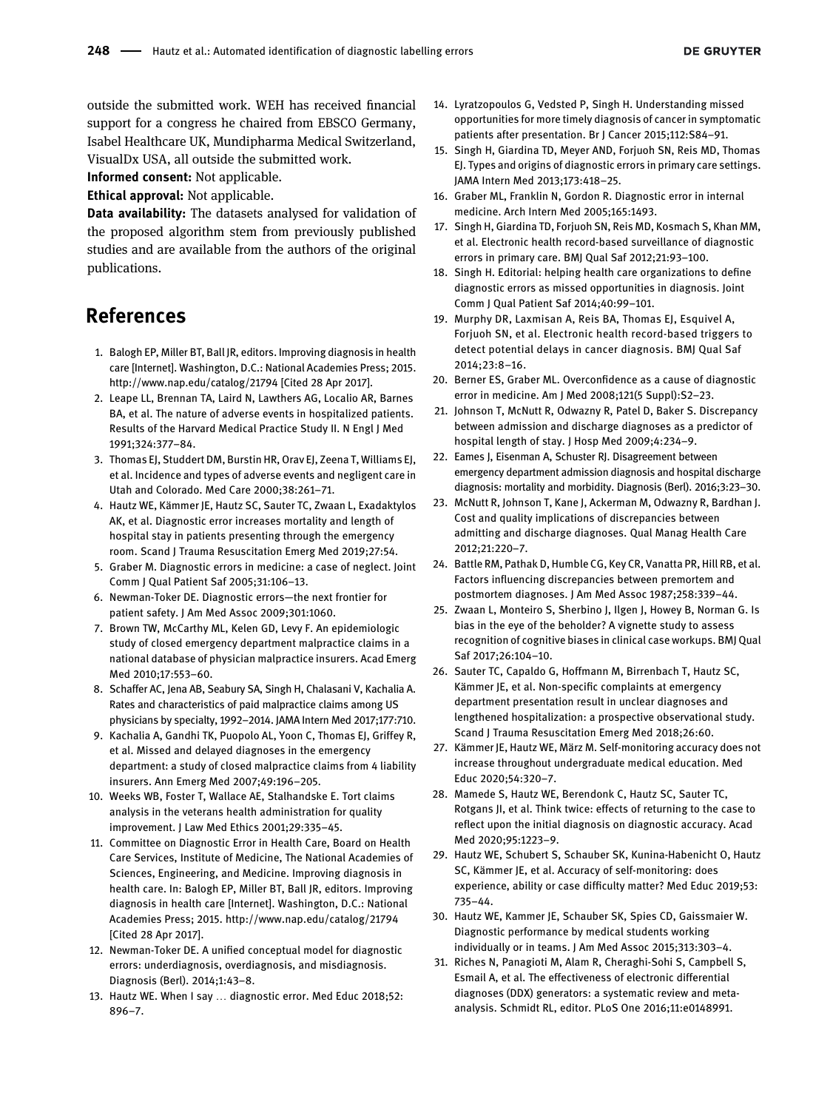outside the submitted work. WEH has received financial support for a congress he chaired from EBSCO Germany, Isabel Healthcare UK, Mundipharma Medical Switzerland, VisualDx USA, all outside the submitted work.

Informed consent: Not applicable.

Ethical approval: Not applicable.

Data availability: The datasets analysed for validation of the proposed algorithm stem from previously published studies and are available from the authors of the original publications.

## References

- <span id="page-7-0"></span>1. Balogh EP, Miller BT, Ball JR, editors. Improving diagnosis in health care [Internet]. Washington, D.C.: National Academies Press; 2015. <http://www.nap.edu/catalog/21794> [Cited 28 Apr 2017].
- 2. Leape LL, Brennan TA, Laird N, Lawthers AG, Localio AR, Barnes BA, et al. The nature of adverse events in hospitalized patients. Results of the Harvard Medical Practice Study II. N Engl J Med 1991;324:377–84.
- 3. Thomas EJ, Studdert DM, Burstin HR, Orav EJ, Zeena T, Williams EJ, et al. Incidence and types of adverse events and negligent care in Utah and Colorado. Med Care 2000;38:261–71.
- <span id="page-7-1"></span>4. Hautz WE, Kämmer JE, Hautz SC, Sauter TC, Zwaan L, Exadaktylos AK, et al. Diagnostic error increases mortality and length of hospital stay in patients presenting through the emergency room. Scand J Trauma Resuscitation Emerg Med 2019;27:54.
- 5. Graber M. Diagnostic errors in medicine: a case of neglect. Joint Comm J Qual Patient Saf 2005;31:106–13.
- 6. Newman-Toker DE. Diagnostic errors—the next frontier for patient safety. J Am Med Assoc 2009;301:1060.
- <span id="page-7-2"></span>7. Brown TW, McCarthy ML, Kelen GD, Levy F. An epidemiologic study of closed emergency department malpractice claims in a national database of physician malpractice insurers. Acad Emerg Med 2010;17:553–60.
- 8. Schaffer AC, Jena AB, Seabury SA, Singh H, Chalasani V, Kachalia A. Rates and characteristics of paid malpractice claims among US physicians by specialty, 1992–2014. JAMA Intern Med 2017;177:710.
- 9. Kachalia A, Gandhi TK, Puopolo AL, Yoon C, Thomas EJ, Griffey R, et al. Missed and delayed diagnoses in the emergency department: a study of closed malpractice claims from 4 liability insurers. Ann Emerg Med 2007;49:196–205.
- <span id="page-7-3"></span>10. Weeks WB, Foster T, Wallace AE, Stalhandske E. Tort claims analysis in the veterans health administration for quality improvement. J Law Med Ethics 2001;29:335–45.
- <span id="page-7-4"></span>11. Committee on Diagnostic Error in Health Care, Board on Health Care Services, Institute of Medicine, The National Academies of Sciences, Engineering, and Medicine. Improving diagnosis in health care. In: Balogh EP, Miller BT, Ball JR, editors. Improving diagnosis in health care [Internet]. Washington, D.C.: National Academies Press; 2015.<http://www.nap.edu/catalog/21794> [Cited 28 Apr 2017].
- <span id="page-7-5"></span>12. Newman-Toker DE. A unified conceptual model for diagnostic errors: underdiagnosis, overdiagnosis, and misdiagnosis. Diagnosis (Berl). 2014;1:43–8.
- <span id="page-7-6"></span>13. Hautz WE. When I say … diagnostic error. Med Educ 2018;52: 896–7.
- <span id="page-7-7"></span>14. Lyratzopoulos G, Vedsted P, Singh H. Understanding missed opportunities for more timely diagnosis of cancer in symptomatic patients after presentation. Br J Cancer 2015;112:S84–91.
- <span id="page-7-8"></span>15. Singh H, Giardina TD, Meyer AND, Forjuoh SN, Reis MD, Thomas EJ. Types and origins of diagnostic errors in primary care settings. JAMA Intern Med 2013;173:418–25.
- <span id="page-7-9"></span>16. Graber ML, Franklin N, Gordon R. Diagnostic error in internal medicine. Arch Intern Med 2005;165:1493.
- <span id="page-7-10"></span>17. Singh H, Giardina TD, Forjuoh SN, Reis MD, Kosmach S, Khan MM, et al. Electronic health record-based surveillance of diagnostic errors in primary care. BMJ Qual Saf 2012;21:93–100.
- <span id="page-7-11"></span>18. Singh H. Editorial: helping health care organizations to define diagnostic errors as missed opportunities in diagnosis. Joint Comm J Qual Patient Saf 2014;40:99–101.
- <span id="page-7-12"></span>19. Murphy DR, Laxmisan A, Reis BA, Thomas EJ, Esquivel A, Forjuoh SN, et al. Electronic health record-based triggers to detect potential delays in cancer diagnosis. BMJ Qual Saf 2014;23:8–16.
- <span id="page-7-13"></span>20. Berner ES, Graber ML. Overconfidence as a cause of diagnostic error in medicine. Am J Med 2008;121(5 Suppl):S2–23.
- <span id="page-7-14"></span>21. Johnson T, McNutt R, Odwazny R, Patel D, Baker S. Discrepancy between admission and discharge diagnoses as a predictor of hospital length of stay. J Hosp Med 2009;4:234–9.
- <span id="page-7-15"></span>22. Eames J, Eisenman A, Schuster RJ. Disagreement between emergency department admission diagnosis and hospital discharge diagnosis: mortality and morbidity. Diagnosis (Berl). 2016;3:23–30.
- <span id="page-7-16"></span>23. McNutt R, Johnson T, Kane J, Ackerman M, Odwazny R, Bardhan J. Cost and quality implications of discrepancies between admitting and discharge diagnoses. Qual Manag Health Care 2012;21:220–7.
- <span id="page-7-17"></span>24. Battle RM, Pathak D, Humble CG, Key CR, Vanatta PR, Hill RB, et al. Factors influencing discrepancies between premortem and postmortem diagnoses. J Am Med Assoc 1987;258:339–44.
- <span id="page-7-18"></span>25. Zwaan L, Monteiro S, Sherbino J, Ilgen J, Howey B, Norman G. Is bias in the eye of the beholder? A vignette study to assess recognition of cognitive biases in clinical case workups. BMJ Qual Saf 2017;26:104–10.
- <span id="page-7-19"></span>26. Sauter TC, Capaldo G, Hoffmann M, Birrenbach T, Hautz SC, Kämmer JE, et al. Non-specific complaints at emergency department presentation result in unclear diagnoses and lengthened hospitalization: a prospective observational study. Scand J Trauma Resuscitation Emerg Med 2018;26:60.
- <span id="page-7-20"></span>27. Kämmer JE, Hautz WE, März M. Self-monitoring accuracy does not increase throughout undergraduate medical education. Med Educ 2020;54:320–7.
- 28. Mamede S, Hautz WE, Berendonk C, Hautz SC, Sauter TC, Rotgans JI, et al. Think twice: effects of returning to the case to reflect upon the initial diagnosis on diagnostic accuracy. Acad Med 2020;95:1223–9.
- 29. Hautz WE, Schubert S, Schauber SK, Kunina‐Habenicht O, Hautz SC, Kämmer JE, et al. Accuracy of self‐monitoring: does experience, ability or case difficulty matter? Med Educ 2019;53: 735–44.
- 30. Hautz WE, Kammer JE, Schauber SK, Spies CD, Gaissmaier W. Diagnostic performance by medical students working individually or in teams. J Am Med Assoc 2015;313:303–4.
- <span id="page-7-21"></span>31. Riches N, Panagioti M, Alam R, Cheraghi-Sohi S, Campbell S, Esmail A, et al. The effectiveness of electronic differential diagnoses (DDX) generators: a systematic review and metaanalysis. Schmidt RL, editor. PLoS One 2016;11:e0148991.